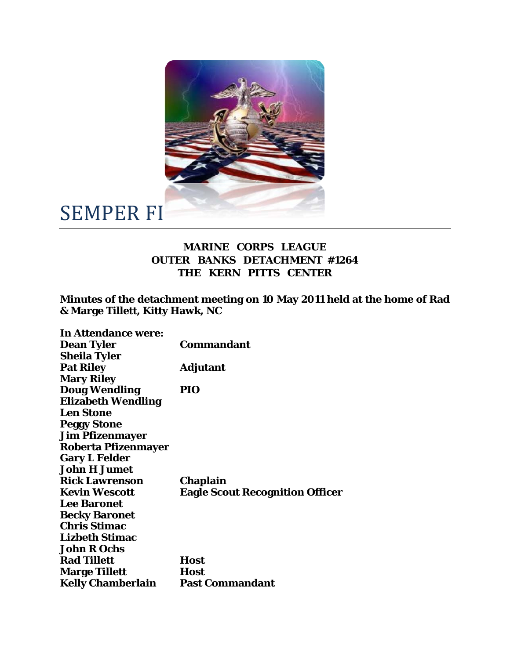

## SEMPER FI

## **MARINE CORPS LEAGUE OUTER BANKS DETACHMENT #1264 THE KERN PITTS CENTER**

**Minutes of the detachment meeting on 10 May 2011 held at the home of Rad & Marge Tillett, Kitty Hawk, NC** 

| <b>In Attendance were:</b> |                                        |
|----------------------------|----------------------------------------|
| <b>Dean Tyler</b>          | Commandant                             |
| <b>Sheila Tyler</b>        |                                        |
| <b>Pat Riley</b>           | <b>Adjutant</b>                        |
| <b>Mary Riley</b>          |                                        |
| <b>Doug Wendling</b>       | PIO                                    |
| <b>Elizabeth Wendling</b>  |                                        |
| <b>Len Stone</b>           |                                        |
| <b>Peggy Stone</b>         |                                        |
| <b>Jim Pfizenmayer</b>     |                                        |
| <b>Roberta Pfizenmayer</b> |                                        |
| <b>Gary L Felder</b>       |                                        |
| <b>John H Jumet</b>        |                                        |
| <b>Rick Lawrenson</b>      | Chaplain                               |
| <b>Kevin Wescott</b>       | <b>Eagle Scout Recognition Officer</b> |
| <b>Lee Baronet</b>         |                                        |
| <b>Becky Baronet</b>       |                                        |
| <b>Chris Stimac</b>        |                                        |
| <b>Lizbeth Stimac</b>      |                                        |
| <b>John R Ochs</b>         |                                        |
| <b>Rad Tillett</b>         | <b>Host</b>                            |
| <b>Marge Tillett</b>       | <b>Host</b>                            |
| <b>Kelly Chamberlain</b>   | <b>Past Commandant</b>                 |
|                            |                                        |